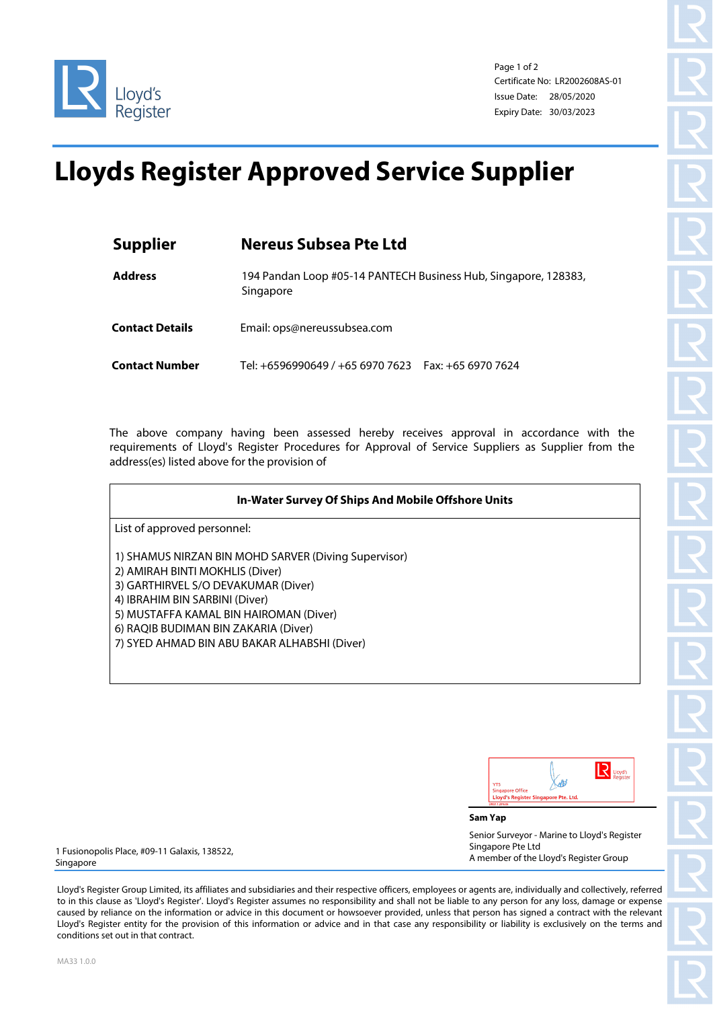

Page 1 of 2 Certificate No: LR2002608AS-01 Issue Date: 28/05/2020 Expiry Date: 30/03/2023

## **Lloyds Register Approved Service Supplier**

| <b>Supplier</b>        | <b>Nereus Subsea Pte Ltd</b>                                                 |
|------------------------|------------------------------------------------------------------------------|
| <b>Address</b>         | 194 Pandan Loop #05-14 PANTECH Business Hub, Singapore, 128383,<br>Singapore |
| <b>Contact Details</b> | Email: ops@nereussubsea.com                                                  |
| <b>Contact Number</b>  | Tel: +6596990649 / +65 6970 7623    Fax: +65 6970 7624                       |

The above company having been assessed hereby receives approval in accordance with the requirements of Lloyd's Register Procedures for Approval of Service Suppliers as Supplier from the address(es) listed above for the provision of

| In-Water Survey Of Ships And Mobile Offshore Units   |
|------------------------------------------------------|
| List of approved personnel:                          |
| 1) SHAMUS NIRZAN BIN MOHD SARVER (Diving Supervisor) |
| 2) AMIRAH BINTI MOKHLIS (Diver)                      |
| 3) GARTHIRVEL S/O DEVAKUMAR (Diver)                  |
| 4) IBRAHIM BIN SARBINI (Diver)                       |
| 5) MUSTAFFA KAMAL BIN HAIROMAN (Diver)               |
| 6) RAQIB BUDIMAN BIN ZAKARIA (Diver)                 |
| 7) SYED AHMAD BIN ABU BAKAR ALHABSHI (Diver)         |

| <b>YTS</b><br><b>Singapore Office</b> |                                      |  |
|---------------------------------------|--------------------------------------|--|
|                                       | Lloyd's Register Singapore Pte. Ltd. |  |

**Sam Yap**

Senior Surveyor - Marine to Lloyd's Register Singapore Pte Ltd A member of the Lloyd's Register Group

1 Fusionopolis Place, #09-11 Galaxis, 138522, Singapore

Lloyd's Register Group Limited, its affiliates and subsidiaries and their respective officers, employees or agents are, individually and collectively, referred to in this clause as 'Lloyd's Register'. Lloyd's Register assumes no responsibility and shall not be liable to any person for any loss, damage or expense caused by reliance on the information or advice in this document or howsoever provided, unless that person has signed a contract with the relevant Lloyd's Register entity for the provision of this information or advice and in that case any responsibility or liability is exclusively on the terms and conditions set out in that contract.